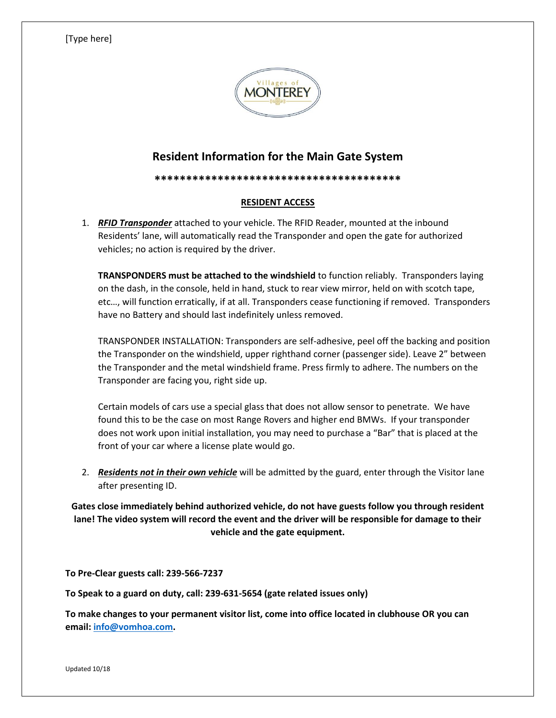## [Type here]



## **Resident Information for the Main Gate System**

**\*\*\*\*\*\*\*\*\*\*\*\*\*\*\*\*\*\*\*\*\*\*\*\*\*\*\*\*\*\*\*\*\*\*\*\*\*\*\***

## **RESIDENT ACCESS**

1. *RFID Transponder* attached to your vehicle. The RFID Reader, mounted at the inbound Residents' lane, will automatically read the Transponder and open the gate for authorized vehicles; no action is required by the driver.

**TRANSPONDERS must be attached to the windshield** to function reliably. Transponders laying on the dash, in the console, held in hand, stuck to rear view mirror, held on with scotch tape, etc…, will function erratically, if at all. Transponders cease functioning if removed. Transponders have no Battery and should last indefinitely unless removed.

TRANSPONDER INSTALLATION: Transponders are self-adhesive, peel off the backing and position the Transponder on the windshield, upper righthand corner (passenger side). Leave 2" between the Transponder and the metal windshield frame. Press firmly to adhere. The numbers on the Transponder are facing you, right side up.

Certain models of cars use a special glass that does not allow sensor to penetrate. We have found this to be the case on most Range Rovers and higher end BMWs. If your transponder does not work upon initial installation, you may need to purchase a "Bar" that is placed at the front of your car where a license plate would go.

2. *Residents not in their own vehicle* will be admitted by the guard, enter through the Visitor lane after presenting ID.

**Gates close immediately behind authorized vehicle, do not have guests follow you through resident lane! The video system will record the event and the driver will be responsible for damage to their vehicle and the gate equipment.**

**To Pre-Clear guests call: 239-566-7237**

**To Speak to a guard on duty, call: 239-631-5654 (gate related issues only)**

**To make changes to your permanent visitor list, come into office located in clubhouse OR you can email: [info@vomhoa.com.](mailto:info@vomhoa.com)**